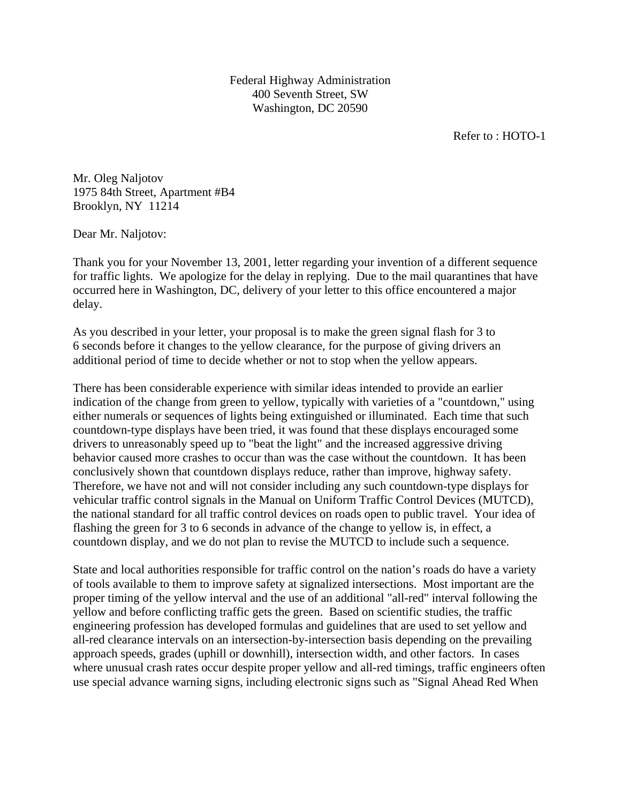Federal Highway Administration 400 Seventh Street, SW Washington, DC 20590

Refer to : HOTO-1

Mr. Oleg Naljotov 1975 84th Street, Apartment #B4 Brooklyn, NY 11214

Dear Mr. Naljotov:

Thank you for your November 13, 2001, letter regarding your invention of a different sequence for traffic lights. We apologize for the delay in replying. Due to the mail quarantines that have occurred here in Washington, DC, delivery of your letter to this office encountered a major delay.

As you described in your letter, your proposal is to make the green signal flash for 3 to 6 seconds before it changes to the yellow clearance, for the purpose of giving drivers an additional period of time to decide whether or not to stop when the yellow appears.

There has been considerable experience with similar ideas intended to provide an earlier indication of the change from green to yellow, typically with varieties of a "countdown," using either numerals or sequences of lights being extinguished or illuminated. Each time that such countdown-type displays have been tried, it was found that these displays encouraged some drivers to unreasonably speed up to "beat the light" and the increased aggressive driving behavior caused more crashes to occur than was the case without the countdown. It has been conclusively shown that countdown displays reduce, rather than improve, highway safety. Therefore, we have not and will not consider including any such countdown-type displays for vehicular traffic control signals in the Manual on Uniform Traffic Control Devices (MUTCD), the national standard for all traffic control devices on roads open to public travel. Your idea of flashing the green for 3 to 6 seconds in advance of the change to yellow is, in effect, a countdown display, and we do not plan to revise the MUTCD to include such a sequence.

State and local authorities responsible for traffic control on the nation's roads do have a variety of tools available to them to improve safety at signalized intersections. Most important are the proper timing of the yellow interval and the use of an additional "all-red" interval following the yellow and before conflicting traffic gets the green. Based on scientific studies, the traffic engineering profession has developed formulas and guidelines that are used to set yellow and all-red clearance intervals on an intersection-by-intersection basis depending on the prevailing approach speeds, grades (uphill or downhill), intersection width, and other factors. In cases where unusual crash rates occur despite proper yellow and all-red timings, traffic engineers often use special advance warning signs, including electronic signs such as "Signal Ahead Red When